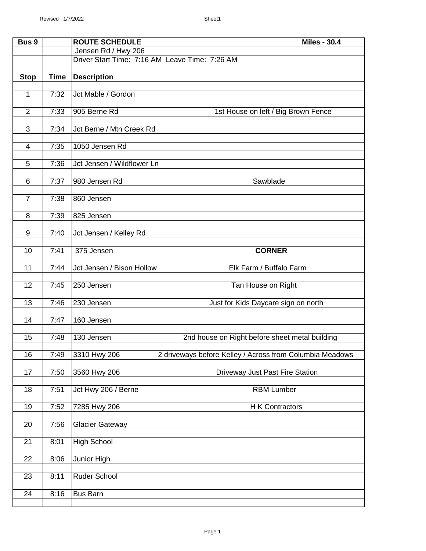| Bus 9          |             | <b>ROUTE SCHEDULE</b><br><b>Miles - 30.4</b>                             |
|----------------|-------------|--------------------------------------------------------------------------|
|                |             | Jensen Rd / Hwy 206                                                      |
|                |             | Driver Start Time: 7:16 AM Leave Time: 7:26 AM                           |
|                |             |                                                                          |
| <b>Stop</b>    | <b>Time</b> | <b>Description</b>                                                       |
|                |             |                                                                          |
| $\mathbf{1}$   | 7:32        | Jct Mable / Gordon                                                       |
| $\overline{2}$ | 7:33        | 905 Berne Rd<br>1st House on left / Big Brown Fence                      |
|                |             |                                                                          |
| 3              | 7:34        | Jct Berne / Mtn Creek Rd                                                 |
|                |             |                                                                          |
| $\overline{4}$ | 7:35        | 1050 Jensen Rd                                                           |
|                |             |                                                                          |
| 5              | 7:36        | Jct Jensen / Wildflower Ln                                               |
|                |             |                                                                          |
| 6              | 7:37        | 980 Jensen Rd<br>Sawblade                                                |
| $\overline{7}$ | 7:38        | 860 Jensen                                                               |
|                |             |                                                                          |
| 8              | 7:39        | 825 Jensen                                                               |
|                |             |                                                                          |
| 9              | 7:40        | Jct Jensen / Kelley Rd                                                   |
|                |             |                                                                          |
| 10             | 7:41        | 375 Jensen<br><b>CORNER</b>                                              |
| 11             | 7:44        | Elk Farm / Buffalo Farm<br>Jct Jensen / Bison Hollow                     |
|                |             |                                                                          |
| 12             | 7:45        | 250 Jensen<br>Tan House on Right                                         |
|                |             |                                                                          |
| 13             | 7:46        | 230 Jensen<br>Just for Kids Daycare sign on north                        |
|                |             |                                                                          |
| 14             | 7:47        | 160 Jensen                                                               |
|                |             |                                                                          |
| 15             | 7:48        | 130 Jensen<br>2nd house on Right before sheet metal building             |
| 16             | 7:49        | 3310 Hwy 206<br>2 driveways before Kelley / Across from Columbia Meadows |
|                |             |                                                                          |
| 17             | 7:50        | 3560 Hwy 206<br>Driveway Just Past Fire Station                          |
|                |             |                                                                          |
| 18             | 7:51        | <b>RBM Lumber</b><br>Jct Hwy 206 / Berne                                 |
|                |             |                                                                          |
| 19             | 7:52        | 7285 Hwy 206<br>H K Contractors                                          |
| 20             | 7:56        | <b>Glacier Gateway</b>                                                   |
|                |             |                                                                          |
| 21             | 8:01        | <b>High School</b>                                                       |
|                |             |                                                                          |
| 22             | 8:06        | Junior High                                                              |
|                |             |                                                                          |
| 23             | 8:11        | Ruder School                                                             |
| 24             | 8:16        | <b>Bus Barn</b>                                                          |
|                |             |                                                                          |
|                |             |                                                                          |